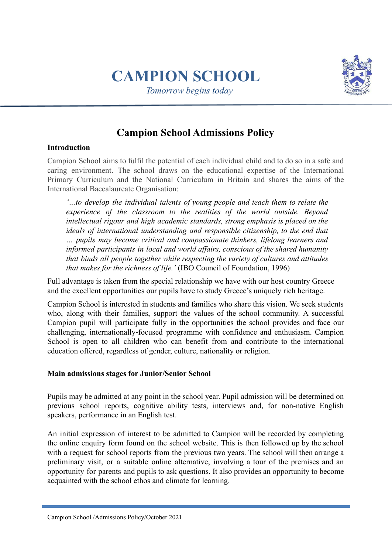# **CAMPION SCHOOL**

*Tomorrow begins today*



# **Campion School Admissions Policy**

#### **Introduction**

Campion School aims to fulfil the potential of each individual child and to do so in a safe and caring environment. The school draws on the educational expertise of the International Primary Curriculum and the National Curriculum in Britain and shares the aims of the International Baccalaureate Organisation:

*'…to develop the individual talents of young people and teach them to relate the experience of the classroom to the realities of the world outside. Beyond intellectual rigour and high academic standards, strong emphasis is placed on the ideals of international understanding and responsible citizenship, to the end that … pupils may become critical and compassionate thinkers, lifelong learners and informed participants in local and world affairs, conscious of the shared humanity that binds all people together while respecting the variety of cultures and attitudes that makes for the richness of life.'* (IBO Council of Foundation, 1996)

Full advantage is taken from the special relationship we have with our host country Greece and the excellent opportunities our pupils have to study Greece's uniquely rich heritage.

Campion School is interested in students and families who share this vision. We seek students who, along with their families, support the values of the school community. A successful Campion pupil will participate fully in the opportunities the school provides and face our challenging, internationally‐focused programme with confidence and enthusiasm. Campion School is open to all children who can benefit from and contribute to the international education offered, regardless of gender, culture, nationality or religion.

#### **Main admissions stages for Junior/Senior School**

Pupils may be admitted at any point in the school year. Pupil admission will be determined on previous school reports, cognitive ability tests, interviews and, for non-native English speakers, performance in an English test.

An initial expression of interest to be admitted to Campion will be recorded by completing the online enquiry form found on the school website. This is then followed up by the school with a request for school reports from the previous two years. The school will then arrange a preliminary visit, or a suitable online alternative, involving a tour of the premises and an opportunity for parents and pupils to ask questions. It also provides an opportunity to become acquainted with the school ethos and climate for learning.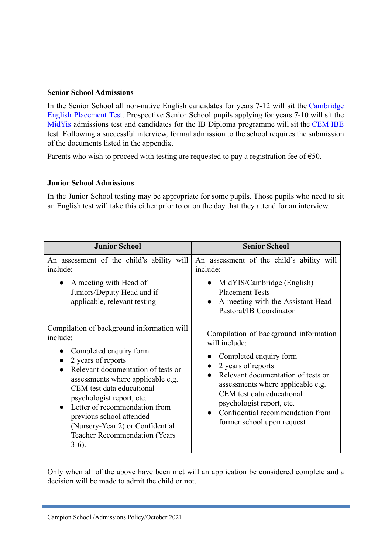#### **Senior School Admissions**

In the Senior School all non-native English candidates for years 7-12 will sit the [Cambridge](https://www.cambridgeenglish.org/test-your-english/) English [Placement](https://www.cambridgeenglish.org/test-your-english/) Test. Prospective Senior School pupils applying for years 7-10 will sit the [MidYis](https://www.cem.org/midyis) admissions test and candidates for the IB Diploma programme will sit the [CEM](https://www.cem.org/cem-ibe) IBE test. Following a successful interview, formal admission to the school requires the submission of the documents listed in the appendix.

Parents who wish to proceed with testing are requested to pay a registration fee of  $\epsilon$ 50.

#### **Junior School Admissions**

In the Junior School testing may be appropriate for some pupils. Those pupils who need to sit an English test will take this either prior to or on the day that they attend for an interview.

| <b>Junior School</b>                                                                                                                                                                                                                                                                                                                                                                             | <b>Senior School</b>                                                                                                                                                                                                                                                                                          |
|--------------------------------------------------------------------------------------------------------------------------------------------------------------------------------------------------------------------------------------------------------------------------------------------------------------------------------------------------------------------------------------------------|---------------------------------------------------------------------------------------------------------------------------------------------------------------------------------------------------------------------------------------------------------------------------------------------------------------|
| An assessment of the child's ability will<br>include:<br>A meeting with Head of<br>Juniors/Deputy Head and if<br>applicable, relevant testing                                                                                                                                                                                                                                                    | An assessment of the child's ability will<br>include:<br>MidYIS/Cambridge (English)<br><b>Placement Tests</b><br>A meeting with the Assistant Head -<br>Pastoral/IB Coordinator                                                                                                                               |
| Compilation of background information will<br>include:<br>Completed enquiry form<br>2 years of reports<br>Relevant documentation of tests or<br>assessments where applicable e.g.<br>CEM test data educational<br>psychologist report, etc.<br>Letter of recommendation from<br>previous school attended<br>(Nursery-Year 2) or Confidential<br><b>Teacher Recommendation (Years</b><br>$3-6$ ). | Compilation of background information<br>will include:<br>Completed enquiry form<br>2 years of reports<br>Relevant documentation of tests or<br>assessments where applicable e.g.<br>CEM test data educational<br>psychologist report, etc.<br>Confidential recommendation from<br>former school upon request |

Only when all of the above have been met will an application be considered complete and a decision will be made to admit the child or not.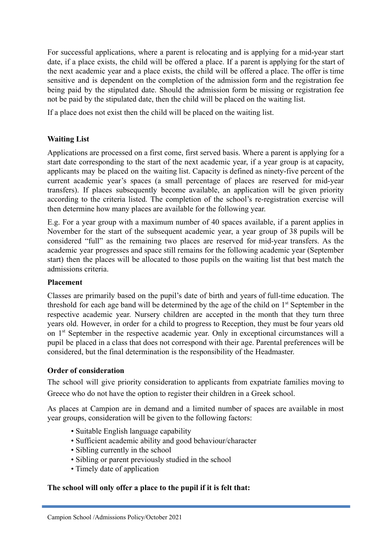For successful applications, where a parent is relocating and is applying for a mid-year start date, if a place exists, the child will be offered a place. If a parent is applying for the start of the next academic year and a place exists, the child will be offered a place. The offer is time sensitive and is dependent on the completion of the admission form and the registration fee being paid by the stipulated date. Should the admission form be missing or registration fee not be paid by the stipulated date, then the child will be placed on the waiting list.

If a place does not exist then the child will be placed on the waiting list.

## **Waiting List**

Applications are processed on a first come, first served basis. Where a parent is applying for a start date corresponding to the start of the next academic year, if a year group is at capacity, applicants may be placed on the waiting list. Capacity is defined as ninety-five percent of the current academic year's spaces (a small percentage of places are reserved for mid-year transfers). If places subsequently become available, an application will be given priority according to the criteria listed. The completion of the school's re-registration exercise will then determine how many places are available for the following year.

E.g. For a year group with a maximum number of 40 spaces available, if a parent applies in November for the start of the subsequent academic year, a year group of 38 pupils will be considered "full" as the remaining two places are reserved for mid-year transfers. As the academic year progresses and space still remains for the following academic year (September start) then the places will be allocated to those pupils on the waiting list that best match the admissions criteria.

#### **Placement**

Classes are primarily based on the pupil's date of birth and years of full-time education. The threshold for each age band will be determined by the age of the child on 1<sup>st</sup> September in the respective academic year. Nursery children are accepted in the month that they turn three years old. However, in order for a child to progress to Reception, they must be four years old on 1<sup>st</sup> September in the respective academic year. Only in exceptional circumstances will a pupil be placed in a class that does not correspond with their age. Parental preferences will be considered, but the final determination is the responsibility of the Headmaster.

#### **Order of consideration**

The school will give priority consideration to applicants from expatriate families moving to Greece who do not have the option to register their children in a Greek school.

As places at Campion are in demand and a limited number of spaces are available in most year groups, consideration will be given to the following factors:

- Suitable English language capability
- Sufficient academic ability and good behaviour/character
- Sibling currently in the school
- Sibling or parent previously studied in the school
- Timely date of application

## **The school will only offer a place to the pupil if it is felt that:**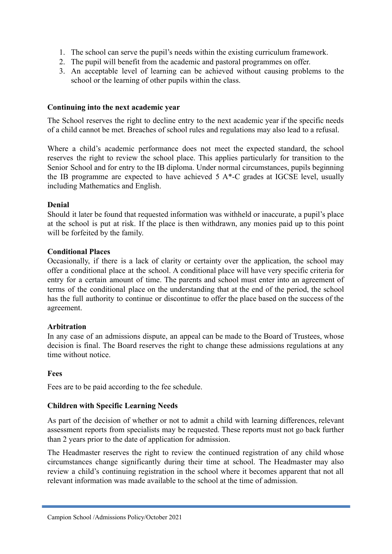- 1. The school can serve the pupil's needs within the existing curriculum framework.
- 2. The pupil will benefit from the academic and pastoral programmes on offer.
- 3. An acceptable level of learning can be achieved without causing problems to the school or the learning of other pupils within the class.

#### **Continuing into the next academic year**

The School reserves the right to decline entry to the next academic year if the specific needs of a child cannot be met. Breaches of school rules and regulations may also lead to a refusal.

Where a child's academic performance does not meet the expected standard, the school reserves the right to review the school place. This applies particularly for transition to the Senior School and for entry to the IB diploma. Under normal circumstances, pupils beginning the IB programme are expected to have achieved  $5 A^*$ -C grades at IGCSE level, usually including Mathematics and English.

#### **Denial**

Should it later be found that requested information was withheld or inaccurate, a pupil's place at the school is put at risk. If the place is then withdrawn, any monies paid up to this point will be forfeited by the family.

#### **Conditional Places**

Occasionally, if there is a lack of clarity or certainty over the application, the school may offer a conditional place at the school. A conditional place will have very specific criteria for entry for a certain amount of time. The parents and school must enter into an agreement of terms of the conditional place on the understanding that at the end of the period, the school has the full authority to continue or discontinue to offer the place based on the success of the agreement.

#### **Arbitration**

In any case of an admissions dispute, an appeal can be made to the Board of Trustees, whose decision is final. The Board reserves the right to change these admissions regulations at any time without notice.

#### **Fees**

Fees are to be paid according to the fee schedule.

#### **Children with Specific Learning Needs**

As part of the decision of whether or not to admit a child with learning differences, relevant assessment reports from specialists may be requested. These reports must not go back further than 2 years prior to the date of application for admission.

The Headmaster reserves the right to review the continued registration of any child whose circumstances change significantly during their time at school. The Headmaster may also review a child's continuing registration in the school where it becomes apparent that not all relevant information was made available to the school at the time of admission.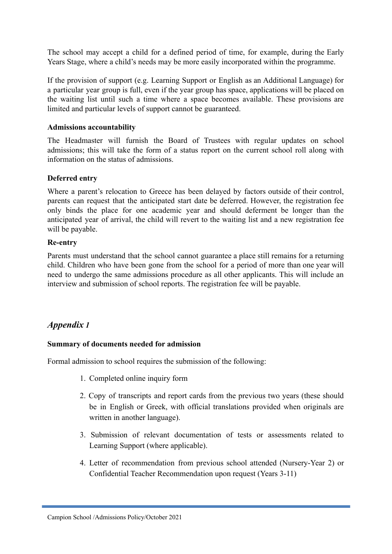The school may accept a child for a defined period of time, for example, during the Early Years Stage, where a child's needs may be more easily incorporated within the programme.

If the provision of support (e.g. Learning Support or English as an Additional Language) for a particular year group is full, even if the year group has space, applications will be placed on the waiting list until such a time where a space becomes available. These provisions are limited and particular levels of support cannot be guaranteed.

#### **Admissions accountability**

The Headmaster will furnish the Board of Trustees with regular updates on school admissions; this will take the form of a status report on the current school roll along with information on the status of admissions.

#### **Deferred entry**

Where a parent's relocation to Greece has been delayed by factors outside of their control, parents can request that the anticipated start date be deferred. However, the registration fee only binds the place for one academic year and should deferment be longer than the anticipated year of arrival, the child will revert to the waiting list and a new registration fee will be payable.

#### **Re-entry**

Parents must understand that the school cannot guarantee a place still remains for a returning child. Children who have been gone from the school for a period of more than one year will need to undergo the same admissions procedure as all other applicants. This will include an interview and submission of school reports. The registration fee will be payable.

# *Appendix 1*

#### **Summary of documents needed for admission**

Formal admission to school requires the submission of the following:

- 1. Completed online inquiry form
- 2. Copy of transcripts and report cards from the previous two years (these should be in English or Greek, with official translations provided when originals are written in another language).
- 3. Submission of relevant documentation of tests or assessments related to Learning Support (where applicable).
- 4. Letter of recommendation from previous school attended (Nursery-Year 2) or Confidential Teacher Recommendation upon request (Years 3-11)